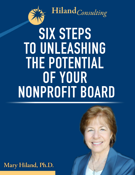

 $\triangleq$  Hiland<sub>Consulting</sub>

# **SIXSTEPS TO UNLEASHING THEPOTENTIAL OFYOUR NONPROFITBOARD**

Mary Hiland, Ph.D.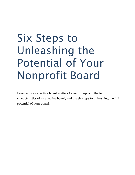# Six Steps to Unleashing the Potential of Your Nonprofit Board

Learn why an effective board matters to your nonprofit, the ten characteristics of an effective board, and the six steps to unleashing the full potential of your board.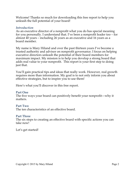Welcome! Thanks so much for downloading this free report to help you unleash the full potential of your board!

#### *Introduction*

As an executive director of a nonprofit what you do has special meaning for you personally. I understand that. I've been a nonprofit leader too – for almost 40 years – including 26 years as an executive and 16 years as a board member.

My name is Mary Hiland and over the past thirteen years I've become a trusted authority and advisor on nonprofit governance. I focus on helping executive directors unleash the potential of their board members for maximum impact. My mission is to help you develop a strong board that adds real value to your nonprofit. This report is your first step to doing just that.

You'll gain practical tips and ideas that really work. However, real growth requires more than information. My goal is to not only inform you about effective strategies, but to inspire you to use them!

Here's what you'll discover in this free report.

#### **Part One**

The five ways your board can positively benefit your nonprofit—why it matters.

#### **Part Two**

The ten characteristics of an effective board.

#### **Part Three**

The six steps to creating an effective board with specific actions you can take now!

Let's get started!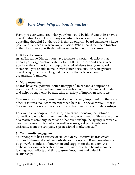

Have you ever wondered what your life would be like if you didn't have a board of directors? I know many executives for whom this is a very appealing thought! But the truth is that a nonprofit board can make a huge positive difference in advancing a mission. When board members function at their best they collectively deliver *results* in five primary areas.

#### **1. Better decisions**

As an Executive Director you have to make important decisions that impact your organization's ability to fulfill its purpose and goals. When you have the support of a group of trusted advisors (e.g. your board members), you're able to make even better decisions. Also, an *effective*  board is equipped to make good decisions that advance your organization's mission.

#### **2. More resources**

Boards have real potential (often untapped!) to expand a nonprofit's resources. An effective board understands a nonprofit's financial model and helps strengthen it by attracting a variety of important resources.

Of course, cash through fund development is very important but there are other resources too. Board members can help build social capital – that is the asset your nonprofit has by virtue of its connections and relationships.

For example, a nonprofit providing emergency housing for victims of domestic violence had a board member who was friends with an executive of a mattress company. Because of that relationship, the agency received all new mattresses for its shelter as well as some great public relations assistance from the company's professional marketing staff.

#### **3. Community engagement**

Your nonprofit has a variety of stakeholders. Effective boards create bridges to those stakeholders outside your nonprofit. Board members can be powerful conduits of interest in and support for the mission. As ambassadors and advocates for your mission, effective board members leverage your efforts and time to grow important and valuable relationships.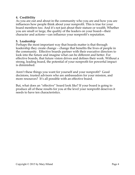# **4. Credibility**

As you are out and about in the community who you are and how you are influences how people think about your nonprofit. This is true for your board members too. And it's not just about their stature or wealth. Whether you are small or large, the quality of the leaders on your board—their character and actions—can influence your nonprofit's reputation.

#### **5. Leadership**

Perhaps the most important way that boards matter is that through leadership they create change – change that benefits the lives of people in the community. Effective boards partner with their executive directors to look into the future and imagine what can be different and better. For effective boards, that future vision drives and defines their work. Without a strong, leading board, the potential of your nonprofit for powerful impact is diminished.

Aren't these things you want for yourself and your nonprofit? Good decisions, trusted advisors who are ambassadors for your mission, and more resources? It's all possible with an effective board.

But, what does an "effective" board look like? If your board is going to produce all of these results for you at the level your nonprofit deserves it needs to have ten characteristics.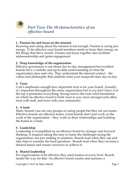

## **1. Passion for and focus on the mission**

Knowing and caring about the mission is not enough. Passion is caring *plus*  energy. To be effective your board members needs to focus their energy on the things that drive results. Passion and focus together also facilitate ambassadorship and ignite engagement.

*\_\_\_\_\_\_\_\_\_\_\_\_\_\_\_\_\_\_\_\_\_\_\_\_\_\_\_\_\_\_\_\_\_\_\_\_\_\_\_\_\_\_\_\_\_\_\_\_\_\_\_\_\_\_\_\_\_\_\_\_\_\_\_\_\_*

# **2. Deep knowledge of the organization**

Effective governance is not about day-to-day management but excellent boards have a realistic and up-to-date understanding of what the organization does and why. They understand the internal context – the values and philosophy that underlie what your nonprofit does day-to-day.

#### **3. Trust**

I can't emphasize enough how important trust is for your board. Actually, it's important throughout the entire organization but if you don't have it at the top it permeates everything. Strong trust is the rock-solid foundation on which an effective board is built: trust in you, trust amongst each other, trust with staff, and trust with your community.

#### **4. A team**

Many boards I see are nice groups of caring people but they are not teams. Effective boards are effective teams. Great boards don't just work on the work of the organization – they work on their relationships and building the board as a team.

# **5. Leadership**

Leadership is exemplified on an effective board by strategic and forward thinking. It requires taking the time to frame the challenges facing the organization, not just rushing to solutions. Boards lead when they ask and take time to consider the hard questions. Boards lead when they envision a desired future and ensure resources to achieve it.

# **6. Shared leadership**

For organizations to be effective they need leaders at every level. Boards model the way for that. An effective board creates and nurtures a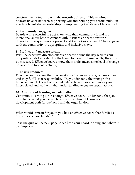constructive partnership with the executive director. This requires a delicate balance between supporting you and holding you accountable. An effective board shares leadership by empowering key stakeholders as well.

# **7. Community engagement**

Boards with powerful impact know who their community is and are intentional about how to connect with it. Effective boards ensure a diversity of perspectives are present and key voices are heard. They engage with the community in appropriate and inclusive ways.

## **8. Produce and measure results**

With the executive director, effective boards define the key results your nonprofit exists to create. For the board to monitor those results, they must be measured. Effective boards know that results mean some level of change has occurred (not just activity).

#### **9. Ensure resources**

Effective boards know their responsibility to steward and grow resources and they fulfill that responsibility. They understand their nonprofit's financial model. These boards understand how mission and money are inter-related and lead with that understanding to ensure sustainability.

#### **10. A culture of learning and adaptation**

Continuous learning is not enough. Effective boards understand that you have to use what you learn. They create a culture of learning and development both for the board and the organization.

What would it mean for you if you had an effective board that fulfilled all ten of these characteristics?

Take the quiz on the next page to see how your board is doing and where it can improve.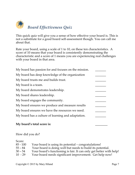

This quick quiz will give you a sense of how effective your board is. This is not a substitute for a good board self-assessment though. You can call me about that.

Rate your board, using a scale of 1 to 10, on these ten characteristics. A score of 10 means that your board is consistently demonstrating the characteristic and a score of 1 means you are experiencing real challenges with your board in that area.

| My board has passion for and focuses on the mission. |  |
|------------------------------------------------------|--|
| My board has deep knowledge of the organization      |  |
| My board trusts me and builds trust.                 |  |
| My board is a team.                                  |  |
| My board demonstrates leadership.                    |  |
| My board shares leadership.                          |  |
| My board engages the community.                      |  |
| My board ensures we produce and measure results      |  |
| My board ensures we have the resources we need.      |  |
| My board has a culture of learning and adaptation.   |  |
|                                                      |  |

# **My board's total score is: \_\_\_\_\_\_\_\_**

#### How did you do?

Score:

| $85 - 100$ | Your board is using its potential – congratulations!                |
|------------|---------------------------------------------------------------------|
| $55 - 84$  | Your board is doing well but needs to build its potential.          |
| $30 - 54$  | Your board's functioning is fair. It can only get better with help! |
| $10 - 29$  | Your board needs significant improvement. Get help now!             |
|            |                                                                     |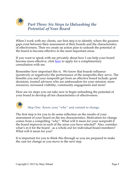

When I work with my clients, our first step is to identify where the greatest gaps exist between their assessment of their boards and the characteristics of effectiveness. Then we create an action plan to unleash the potential of the board to become effective in the most important areas.

If you want to speak with me privately about how I can help your board become more effective, click [here](http://www.hilandconsulting.org/consultation-with-mary/) to apply for a complimentary consultation with me.

Remember how important this is. We know that boards influence (positively or negatively) the performance of the nonprofits they serve. The benefits you and your nonprofit get from an effective board include: good decisions, trusted advisors who are ambassadors for your mission, more resources, increased visibility, community engagement and more!

Here are six steps you can take now to begin unleashing the potential of your board to develop all ten characteristics of effectiveness.



Step One: Know your "why" and commit to change.

The first step is for you to do some reflection on the results of your assessment of your board on the ten characteristics. Motivation for change comes from a compelling "why". What will it mean for your nonprofit if the board improves in each of the areas you have selected? Also, consider: what's in it for the board - as a whole *and* for individual board members? What will it mean for you?

It is important for you to think this through so you are prepared to make the case for change as you move to the next step.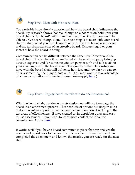

You probably have already experienced how the board chair influences the board. My research shows that real change on a board is on hold until your board chair is "on board" with it. As the Executive Director you won't be able to drive board change alone. Your next step is to meet with your board chair to share what you have learned: why an effective board is important and the ten characteristics of an effective board. Discuss together your views of how the board is doing.

Communication can be difficult between the Executive Director and the board chair. This is where it can really help to have a third party bringing outside expertise and/or someone you can partner with and talk to about your challenges with the board chair. The quality of the relationship you have with the board chair will influence how fast and how far you can go. This is something I help my clients with. (You may want to take advantage of a free consultation with me to discuss how—apply [here.](http://www.hilandconsulting.org/consultation-with-mary/))



Step Three: Engage board members to do a self-assessment.

With the board chair, decide on the strategies you will use to engage the board in an assessment process. There are lots of options but keep in mind that you want an approach that focuses the board on how it is doing in the ten areas of effectiveness. (I have created an in-depth but quick and easyto-use assessment. If you want to learn more contact me for a free consultation. Apply [here.](http://www.hilandconsulting.org/consultation-with-mary/))

It works well if you have a board committee in place that can analyze the results and report back to the board to discuss them. Once the board has completed the assessment and knows the results, you are ready for the next step.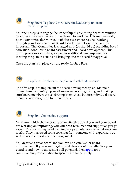

Your next step is to engage the leadership of an existing board committee to address the areas the board has chosen to work on. This may naturally be the committee that worked with the assessment results. Working through your Governance or Board Development Committee is very important. That Committee is charged with (or should be) providing board education, conducting board assessment and board development. This group provides a structure, as well as additional person-power, for creating the plan of action and bringing it to the board for approval.

Once the plan is in place you are ready for Step Five.



Step Five: Implement the plan and celebrate success

The fifth step is to implement the board development plan. Maintain momentum by identifying small successes as you go along and making sure board members are celebrating them. Also, be sure individual board members are recognized for their efforts.



Step Six: Get needed support

No matter which characteristics of an effective board you and your board are working on improving, you will need resources and support as you go along. The board may need training in a particular area re: what we know works. They may need some coaching from someone with expertise. You will all need support and encouragement.

You deserve a great board and you can be a catalyst for board improvement. If you want to get crystal clear about how effective your board is and how to unleash its full potential, then [apply](http://www.hilandconsulting.org/consultation-with-mary/) for a complimentary consultation to speak with me privately.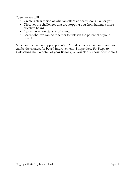Together we will:

- Create a clear vision of what an effective board looks like for you.
- Discover the challenges that are stopping you from having a more effective board.
- Learn the action steps to take now.
- Learn what we can do together to unleash the potential of your board.

Most boards have untapped potential. You deserve a great board and you can be the catalyst for board improvement. I hope these Six Steps to Unleashing the Potential of your Board give you clarity about how to start.